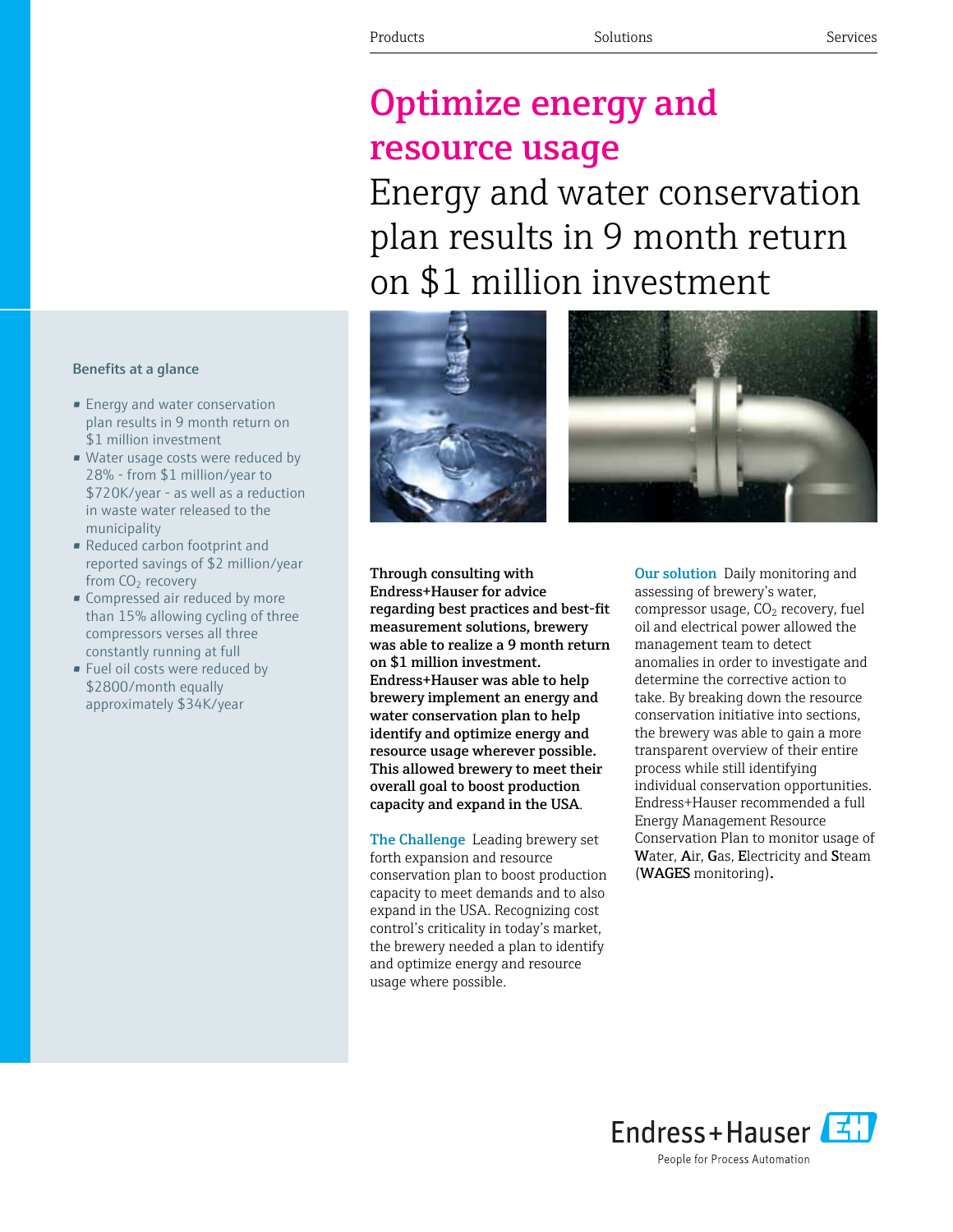# Optimize energy and resource usage

Energy and water conservation plan results in 9 month return on \$1 million investment



Through consulting with Endress+Hauser for advice regarding best practices and best-fit measurement solutions, brewery was able to realize a 9 month return on \$1 million investment. Endress+Hauser was able to help brewery implement an energy and water conservation plan to help identify and optimize energy and resource usage wherever possible. This allowed brewery to meet their overall goal to boost production capacity and expand in the USA.

The Challenge Leading brewery set forth expansion and resource conservation plan to boost production capacity to meet demands and to also expand in the USA. Recognizing cost control's criticality in today's market, the brewery needed a plan to identify and optimize energy and resource usage where possible.

Our solution Daily monitoring and assessing of brewery's water, compressor usage,  $CO<sub>2</sub>$  recovery, fuel oil and electrical power allowed the management team to detect anomalies in order to investigate and determine the corrective action to take. By breaking down the resource conservation initiative into sections, the brewery was able to gain a more transparent overview of their entire process while still identifying individual conservation opportunities. Endress+Hauser recommended a full Energy Management Resource Conservation Plan to monitor usage of Water, Air, Gas, Electricity and Steam (WAGES monitoring).

### Benefits at a glance

- **•** Energy and water conservation plan results in 9 month return on \$1 million investment
- Water usage costs were reduced by 28% - from \$1 million/year to \$720K/year - as well as a reduction in waste water released to the municipality
- • Reduced carbon footprint and reported savings of \$2 million/year from  $CO<sub>2</sub>$  recovery
- Compressed air reduced by more than 15% allowing cycling of three compressors verses all three constantly running at full
- Fuel oil costs were reduced by \$2800/month equally approximately \$34K/year